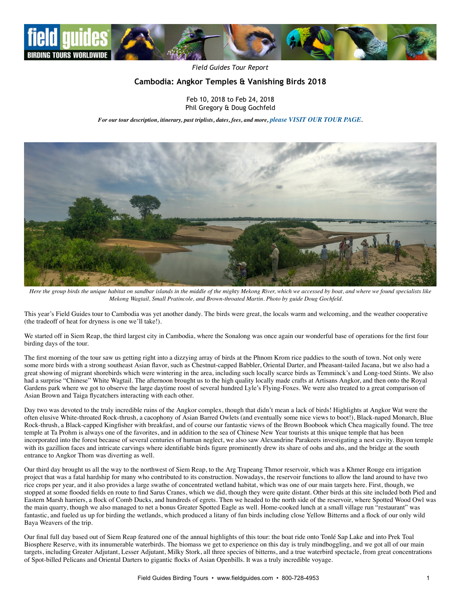

*Field Guides Tour Report*

# **Cambodia: Angkor Temples & Vanishing Birds 2018**

Feb 10, 2018 to Feb 24, 2018 Phil Gregory & Doug Gochfeld

*For our tour description, itinerary, past triplists, dates, fees, and more, [please VISIT OUR TOUR PAGE](https://fieldguides.com/bird-tours/cambodia).*



*Here the group birds the unique habitat on sandbar islands in the middle of the mighty Mekong River, which we accessed by boat, and where we found specialists like Mekong Wagtail, Small Pratincole, and Brown-throated Martin. Photo by guide Doug Gochfeld.*

This year's Field Guides tour to Cambodia was yet another dandy. The birds were great, the locals warm and welcoming, and the weather cooperative (the tradeoff of heat for dryness is one we'll take!).

We started off in Siem Reap, the third largest city in Cambodia, where the Sonalong was once again our wonderful base of operations for the first four birding days of the tour.

The first morning of the tour saw us getting right into a dizzying array of birds at the Phnom Krom rice paddies to the south of town. Not only were some more birds with a strong southeast Asian flavor, such as Chestnut-capped Babbler, Oriental Darter, and Pheasant-tailed Jacana, but we also had a great showing of migrant shorebirds which were wintering in the area, including such locally scarce birds as Temminck's and Long-toed Stints. We also had a surprise "Chinese" White Wagtail. The afternoon brought us to the high quality locally made crafts at Artisans Angkor, and then onto the Royal Gardens park where we got to observe the large daytime roost of several hundred Lyle's Flying-Foxes. We were also treated to a great comparison of Asian Brown and Taiga flycatchers interacting with each other.

Day two was devoted to the truly incredible ruins of the Angkor complex, though that didn't mean a lack of birds! Highlights at Angkor Wat were the often elusive White-throated Rock-thrush, a cacophony of Asian Barred Owlets (and eventually some nice views to boot!), Black-naped Monarch, Blue Rock-thrush, a Black-capped Kingfisher with breakfast, and of course our fantastic views of the Brown Boobook which Chea magically found. The tree temple at Ta Prohm is always one of the favorites, and in addition to the sea of Chinese New Year tourists at this unique temple that has been incorporated into the forest because of several centuries of human neglect, we also saw Alexandrine Parakeets investigating a nest cavity. Bayon temple with its gazillion faces and intricate carvings where identifiable birds figure prominently drew its share of oohs and ahs, and the bridge at the south entrance to Angkor Thom was diverting as well.

Our third day brought us all the way to the northwest of Siem Reap, to the Arg Trapeang Thmor reservoir, which was a Khmer Rouge era irrigation project that was a fatal hardship for many who contributed to its construction. Nowadays, the reservoir functions to allow the land around to have two rice crops per year, and it also provides a large swathe of concentrated wetland habitat, which was one of our main targets here. First, though, we stopped at some flooded fields en route to find Sarus Cranes, which we did, though they were quite distant. Other birds at this site included both Pied and Eastern Marsh harriers, a flock of Comb Ducks, and hundreds of egrets. Then we headed to the north side of the reservoir, where Spotted Wood Owl was the main quarry, though we also managed to net a bonus Greater Spotted Eagle as well. Home-cooked lunch at a small village run "restaurant" was fantastic, and fueled us up for birding the wetlands, which produced a litany of fun birds including close Yellow Bitterns and a flock of our only wild Baya Weavers of the trip.

Our final full day based out of Siem Reap featured one of the annual highlights of this tour: the boat ride onto Tonlé Sap Lake and into Prek Toal Biosphere Reserve, with its innumerable waterbirds. The biomass we get to experience on this day is truly mindboggling, and we got all of our main targets, including Greater Adjutant, Lesser Adjutant, Milky Stork, all three species of bitterns, and a true waterbird spectacle, from great concentrations of Spot-billed Pelicans and Oriental Darters to gigantic flocks of Asian Openbills. It was a truly incredible voyage.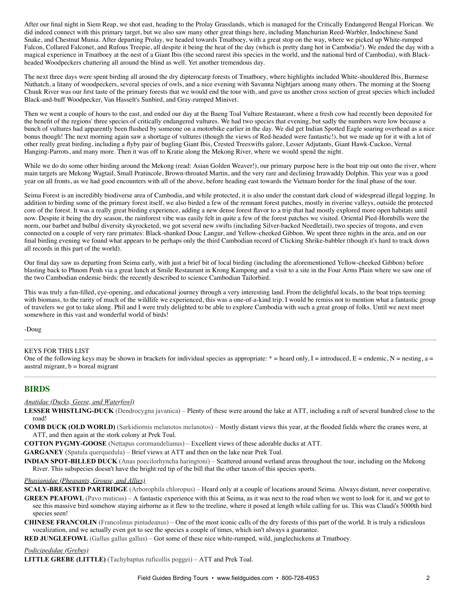After our final night in Siem Reap, we shot east, heading to the Prolay Grasslands, which is managed for the Critically Endangered Bengal Florican. We did indeed connect with this primary target, but we also saw many other great things here, including Manchurian Reed-Warbler, Indochinese Sand Snake, and Chestnut Munia. After departing Prolay, we headed towards Tmatboey, with a great stop on the way, where we picked up White-rumped Falcon, Collared Falconet, and Rufous Treepie, all despite it being the heat of the day (which is pretty dang hot in Cambodia!). We ended the day with a magical experience in Tmatboey at the nest of a Giant Ibis (the second rarest ibis species in the world, and the national bird of Cambodia), with Blackheaded Woodpeckers chattering all around the blind as well. Yet another tremendous day.

The next three days were spent birding all around the dry dipterocarp forests of Tmatboey, where highlights included White-shouldered Ibis, Burmese Nuthatch, a litany of woodpeckers, several species of owls, and a nice evening with Savanna Nightjars among many others. The morning at the Stoeng Chuuk River was our first taste of the primary forests that we would end the tour with, and gave us another cross section of great species which included Black-and-buff Woodpecker, Van Hasselt's Sunbird, and Gray-rumped Minivet.

Then we went a couple of hours to the east, and ended our day at the Baeng Toal Vulture Restaurant, where a fresh cow had recently been deposited for the benefit of the regions' three species of critically endangered vultures. We had two species that evening, but sadly the numbers were low because a bunch of vultures had apparently been flushed by someone on a motorbike earlier in the day. We did get Indian Spotted Eagle soaring overhead as a nice bonus though! The next morning again saw a shortage of vultures (though the views of Red-headed were fantastic!), but we made up for it with a lot of other really great birding, including a flyby pair of bugling Giant Ibis, Crested Treeswifts galore, Lesser Adjutants, Giant Hawk-Cuckoo, Vernal Hanging-Parrots, and many more. Then it was off to Kratie along the Mekong River, where we would spend the night.

While we do do some other birding around the Mekong (read: Asian Golden Weaver!), our primary purpose here is the boat trip out onto the river, where main targets are Mekong Wagtail, Small Pratincole, Brown-throated Martin, and the very rare and declining Irrawaddy Dolphin. This year was a good year on all fronts, as we had good encounters with all of the above, before heading east towards the Vietnam border for the final phase of the tour.

Seima Forest is an incredibly biodiverse area of Cambodia, and while protected, it is also under the constant dark cloud of widespread illegal logging. In addition to birding some of the primary forest itself, we also birded a few of the remnant forest patches, mostly in riverine valleys, outside the protected core of the forest. It was a really great birding experience, adding a new dense forest flavor to a trip that had mostly explored more open habitats until now. Despite it being the dry season, the rainforest vibe was easily felt in quite a few of the forest patches we visited. Oriental Pied-Hornbills were the norm, our barbet and bulbul diversity skyrocketed, we got several new swifts (including Silver-backed Needletail), two species of trogons, and even connected on a couple of very rare primates: Black-shanked Douc Langur, and Yellow-cheeked Gibbon. We spent three nights in the area, and on our final birding evening we found what appears to be perhaps only the third Cambodian record of Clicking Shrike-babbler (though it's hard to track down all records in this part of the world).

Our final day saw us departing from Seima early, with just a brief bit of local birding (including the aforementioned Yellow-cheeked Gibbon) before blasting back to Phnom Penh via a great lunch at Smile Restaurant in Krong Kampong and a visit to a site in the Four Arms Plain where we saw one of the two Cambodian endemic birds: the recently described to science Cambodian Tailorbird.

This was truly a fun-filled, eye-opening, and educational journey through a very interesting land. From the delightful locals, to the boat trips teeming with biomass, to the rarity of much of the wildlife we experienced, this was a one-of-a-kind trip. I would be remiss not to mention what a fantastic group of travelers we got to take along. Phil and I were truly delighted to be able to explore Cambodia with such a great group of folks. Until we next meet somewhere in this vast and wonderful world of birds!

-Doug

### KEYS FOR THIS LIST

One of the following keys may be shown in brackets for individual species as appropriate:  $* =$  heard only, I = introduced, E = endemic, N = nesting, a = austral migrant,  $b =$  boreal migrant

### **BIRDS**

*Anatidae (Ducks, Geese, and Waterfowl)*

**LESSER WHISTLING-DUCK** (Dendrocygna javanica) – Plenty of these were around the lake at ATT, including a raft of several hundred close to the road!

**COMB DUCK (OLD WORLD)** (Sarkidiornis melanotos melanotos) – Mostly distant views this year, at the flooded fields where the cranes were, at ATT, and then again at the stork colony at Prek Toal.

**COTTON PYGMY-GOOSE** (Nettapus coromandelianus) – Excellent views of these adorable ducks at ATT.

**GARGANEY** (Spatula querquedula) – Brief views at ATT and then on the lake near Prek Toal.

**INDIAN SPOT-BILLED DUCK** (Anas poecilorhyncha haringtoni) – Scattered around wetland areas throughout the tour, including on the Mekong River. This subspecies doesn't have the bright red tip of the bill that the other taxon of this species sports.

#### *Phasianidae (Pheasants, Grouse, and Allies)*

**SCALY-BREASTED PARTRIDGE** (Arborophila chloropus) – Heard only at a couple of locations around Seima. Always distant, never cooperative.

**GREEN PEAFOWL** (Pavo muticus) – A fantastic experience with this at Seima, as it was next to the road when we went to look for it, and we got to see this massive bird somehow staying airborne as it flew to the treeline, where it posed at length while calling for us. This was Claudi's 5000th bird species seen!

**CHINESE FRANCOLIN** (Francolinus pintadeanus) – One of the most iconic calls of the dry forests of this part of the world. It is truly a ridiculous vocalization, and we actually even got to see the species a couple of times, which isn't always a guarantee.

**RED JUNGLEFOWL** (Gallus gallus gallus) – Got some of these nice white-rumped, wild, junglechickens at Tmatboey.

### *Podicipedidae (Grebes)*

**LITTLE GREBE (LITTLE)** (Tachybaptus ruficollis poggei) – ATT and Prek Toal.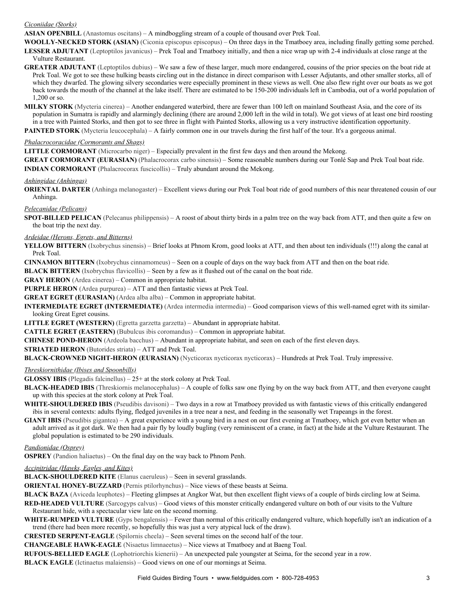### *Ciconiidae (Storks)*

**ASIAN OPENBILL** (Anastomus oscitans) – A mindboggling stream of a couple of thousand over Prek Toal.

WOOLLY-NECKED STORK (ASIAN) (Ciconia episcopus episcopus) – On three days in the Tmatboey area, including finally getting some perched. **LESSER ADJUTANT** (Leptoptilos javanicus) – Prek Toal and Tmatboey initially, and then a nice wrap up with 2-4 individuals at close range at the Vulture Restaurant.

**GREATER ADJUTANT** (Leptoptilos dubius) – We saw a few of these larger, much more endangered, cousins of the prior species on the boat ride at Prek Toal. We got to see these hulking beasts circling out in the distance in direct comparison with Lesser Adjutants, and other smaller storks, all of which they dwarfed. The glowing silvery secondaries were especially prominent in these views as well. One also flew right over our boats as we got back towards the mouth of the channel at the lake itself. There are estimated to be 150-200 individuals left in Cambodia, out of a world population of 1,200 or so.

**MILKY STORK** (Mycteria cinerea) – Another endangered waterbird, there are fewer than 100 left on mainland Southeast Asia, and the core of its population in Sumatra is rapidly and alarmingly declining (there are around 2,000 left in the wild in total). We got views of at least one bird roosting in a tree with Painted Storks, and then got to see three in flight with Painted Storks, allowing us a very instructive identification opportunity. **PAINTED STORK** (Mycteria leucocephala) – A fairly common one in our travels during the first half of the tour. It's a gorgeous animal.

### *Phalacrocoracidae (Cormorants and Shags)*

**LITTLE CORMORANT** (Microcarbo niger) – Especially prevalent in the first few days and then around the Mekong.

**GREAT CORMORANT (EURASIAN)** (Phalacrocorax carbo sinensis) – Some reasonable numbers during our Tonlé Sap and Prek Toal boat ride. **INDIAN CORMORANT** (Phalacrocorax fuscicollis) – Truly abundant around the Mekong.

*Anhingidae (Anhingas)*

**ORIENTAL DARTER** (Anhinga melanogaster) – Excellent views during our Prek Toal boat ride of good numbers of this near threatened cousin of our Anhinga.

### *Pelecanidae (Pelicans)*

**SPOT-BILLED PELICAN** (Pelecanus philippensis) – A roost of about thirty birds in a palm tree on the way back from ATT, and then quite a few on the boat trip the next day.

### *Ardeidae (Herons, Egrets, and Bitterns)*

**YELLOW BITTERN** (Ixobrychus sinensis) – Brief looks at Phnom Krom, good looks at ATT, and then about ten individuals (!!!) along the canal at Prek Toal.

**CINNAMON BITTERN** (Ixobrychus cinnamomeus) – Seen on a couple of days on the way back from ATT and then on the boat ride.

**BLACK BITTERN** (Ixobrychus flavicollis) – Seen by a few as it flushed out of the canal on the boat ride.

**GRAY HERON** (Ardea cinerea) – Common in appropriate habitat.

**PURPLE HERON** (Ardea purpurea) – ATT and then fantastic views at Prek Toal.

**GREAT EGRET (EURASIAN)** (Ardea alba alba) – Common in appropriate habitat.

**INTERMEDIATE EGRET (INTERMEDIATE)** (Ardea intermedia intermedia) – Good comparison views of this well-named egret with its similarlooking Great Egret cousins.

**LITTLE EGRET (WESTERN)** (Egretta garzetta garzetta) – Abundant in appropriate habitat.

**CATTLE EGRET (EASTERN)** (Bubulcus ibis coromandus) – Common in appropriate habitat.

**CHINESE POND-HERON** (Ardeola bacchus) – Abundant in appropriate habitat, and seen on each of the first eleven days.

**STRIATED HERON** (Butorides striata) – ATT and Prek Toal.

**BLACK-CROWNED NIGHT-HERON (EURASIAN)** (Nycticorax nycticorax nycticorax) – Hundreds at Prek Toal. Truly impressive.

### *Threskiornithidae (Ibises and Spoonbills)*

**GLOSSY IBIS** (Plegadis falcinellus)  $-25$ + at the stork colony at Prek Toal.

**BLACK-HEADED IBIS** (Threskiornis melanocephalus) – A couple of folks saw one flying by on the way back from ATT, and then everyone caught up with this species at the stork colony at Prek Toal.

**WHITE-SHOULDERED IBIS** (Pseudibis davisoni) – Two days in a row at Tmatboey provided us with fantastic views of this critically endangered ibis in several contexts: adults flying, fledged juveniles in a tree near a nest, and feeding in the seasonally wet Trapeangs in the forest.

**GIANT IBIS** (Pseudibis gigantea) – A great experience with a young bird in a nest on our first evening at Tmatboey, which got even better when an adult arrived as it got dark. We then had a pair fly by loudly bugling (very reminiscent of a crane, in fact) at the hide at the Vulture Restaurant. The global population is estimated to be 290 individuals.

#### *Pandionidae (Osprey)*

**OSPREY** (Pandion haliaetus) – On the final day on the way back to Phnom Penh.

## *Accipitridae (Hawks, Eagles, and Kites)*

**BLACK-SHOULDERED KITE** (Elanus caeruleus) – Seen in several grasslands.

**ORIENTAL HONEY-BUZZARD** (Pernis ptilorhynchus) – Nice views of these beasts at Seima.

**BLACK BAZA** (Aviceda leuphotes) – Fleeting glimpses at Angkor Wat, but then excellent flight views of a couple of birds circling low at Seima.

**RED-HEADED VULTURE** (Sarcogyps calvus) – Good views of this monster critically endangered vulture on both of our visits to the Vulture Restaurant hide, with a spectacular view late on the second morning.

**WHITE-RUMPED VULTURE** (Gyps bengalensis) – Fewer than normal of this critically endangered vulture, which hopefully isn't an indication of a trend (there had been more recently, so hopefully this was just a very atypical luck of the draw).

**CRESTED SERPENT-EAGLE** (Spilornis cheela) – Seen several times on the second half of the tour.

**CHANGEABLE HAWKEAGLE** (Nisaetus limnaeetus) – Nice views at Tmatboey and at Baeng Toal.

**RUFOUS-BELLIED EAGLE** (Lophotriorchis kienerii) – An unexpected pale youngster at Seima, for the second year in a row.

**BLACK EAGLE** (Ictinaetus malaiensis) – Good views on one of our mornings at Seima.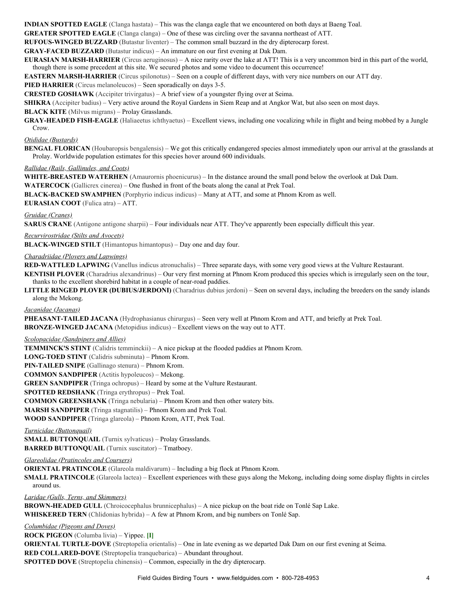**INDIAN SPOTTED EAGLE** (Clanga hastata) – This was the clanga eagle that we encountered on both days at Baeng Toal.

**GREATER SPOTTED EAGLE** (Clanga clanga) – One of these was circling over the savanna northeast of ATT.

**RUFOUS-WINGED BUZZARD** (Butastur liventer) – The common small buzzard in the dry dipterocarp forest.

**GRAYFACED BUZZARD** (Butastur indicus) – An immature on our first evening at Dak Dam.

**EURASIAN MARSH-HARRIER** (Circus aeruginosus) – A nice rarity over the lake at ATT! This is a very uncommon bird in this part of the world, though there is some precedent at this site. We secured photos and some video to document this occurrence!

**EASTERN MARSH-HARRIER** (Circus spilonotus) – Seen on a couple of different days, with very nice numbers on our ATT day.

**PIED HARRIER** (Circus melanoleucos) – Seen sporadically on days 3-5.

**CRESTED GOSHAWK** (Accipiter trivirgatus) – A brief view of a youngster flying over at Seima.

**SHIKRA** (Accipiter badius) – Very active around the Royal Gardens in Siem Reap and at Angkor Wat, but also seen on most days.

**BLACK KITE** (Milvus migrans) – Prolay Grasslands.

**GRAY-HEADED FISH-EAGLE** (Haliaeetus ichthyaetus) – Excellent views, including one vocalizing while in flight and being mobbed by a Jungle Crow.

#### *Otididae (Bustards)*

**BENGAL FLORICAN** (Houbaropsis bengalensis) – We got this critically endangered species almost immediately upon our arrival at the grasslands at Prolay. Worldwide population estimates for this species hover around 600 individuals.

### *Rallidae (Rails, Gallinules, and Coots)*

WHITE-BREASTED WATERHEN (Amaurornis phoenicurus) – In the distance around the small pond below the overlook at Dak Dam. **WATERCOCK** (Gallicrex cinerea) – One flushed in front of the boats along the canal at Prek Toal.

**BLACK-BACKED SWAMPHEN** (Porphyrio indicus indicus) – Many at ATT, and some at Phnom Krom as well.

#### **EURASIAN COOT** (Fulica atra) – ATT.

#### *Gruidae (Cranes)*

**SARUS CRANE** (Antigone antigone sharpii) – Four individuals near ATT. They've apparently been especially difficult this year.

#### *Recurvirostridae (Stilts and Avocets)*

**BLACK-WINGED STILT** (Himantopus himantopus) – Day one and day four.

### *Charadriidae (Plovers and Lapwings)*

**RED-WATTLED LAPWING** (Vanellus indicus atronuchalis) – Three separate days, with some very good views at the Vulture Restaurant.

**KENTISH PLOVER** (Charadrius alexandrinus) – Our very first morning at Phnom Krom produced this species which is irregularly seen on the tour, thanks to the excellent shorebird habitat in a couple of near-road paddies.

**LITTLE RINGED PLOVER (DUBIUS/JERDONI)** (Charadrius dubius jerdoni) – Seen on several days, including the breeders on the sandy islands along the Mekong.

#### *Jacanidae (Jacanas)*

**PHEASANT-TAILED JACANA** (Hydrophasianus chirurgus) – Seen very well at Phnom Krom and ATT, and briefly at Prek Toal. **BRONZE-WINGED JACANA** (Metopidius indicus) – Excellent views on the way out to ATT.

### *Scolopacidae (Sandpipers and Allies)*

**TEMMINCK'S STINT** (Calidris temminckii) – A nice pickup at the flooded paddies at Phnom Krom. LONG-TOED STINT (Calidris subminuta) – Phnom Krom. **PIN-TAILED SNIPE** (Gallinago stenura) – Phnom Krom. **COMMON SANDPIPER** (Actitis hypoleucos) – Mekong. **GREEN SANDPIPER** (Tringa ochropus) – Heard by some at the Vulture Restaurant. **SPOTTED REDSHANK** (Tringa erythropus) – Prek Toal. **COMMON GREENSHANK** (Tringa nebularia) – Phnom Krom and then other watery bits. **MARSH SANDPIPER** (Tringa stagnatilis) – Phnom Krom and Prek Toal. **WOOD SANDPIPER** (Tringa glareola) – Phnom Krom, ATT, Prek Toal.

#### *Turnicidae (Buttonquail)*

**SMALL BUTTONQUAIL** (Turnix sylvaticus) – Prolay Grasslands. **BARRED BUTTONQUAIL** (Turnix suscitator) – Tmatboey.

*Glareolidae (Pratincoles and Coursers)*

**ORIENTAL PRATINCOLE** (Glareola maldivarum) – Including a big flock at Phnom Krom.

**SMALL PRATINCOLE** (Glareola lactea) – Excellent experiences with these guys along the Mekong, including doing some display flights in circles around us.

*Laridae (Gulls, Terns, and Skimmers)*

**BROWN-HEADED GULL** (Chroicocephalus brunnicephalus) – A nice pickup on the boat ride on Tonlé Sap Lake. **WHISKERED TERN** (Chlidonias hybrida) – A few at Phnom Krom, and big numbers on Tonlé Sap.

### *Columbidae (Pigeons and Doves)*

**ROCK PIGEON** (Columba livia) – Yippee. **[I]**

**ORIENTAL TURTLE-DOVE** (Streptopelia orientalis) – One in late evening as we departed Dak Dam on our first evening at Seima. **RED COLLARED-DOVE** (Streptopelia tranquebarica) – Abundant throughout.

**SPOTTED DOVE** (Streptopelia chinensis) – Common, especially in the dry dipterocarp.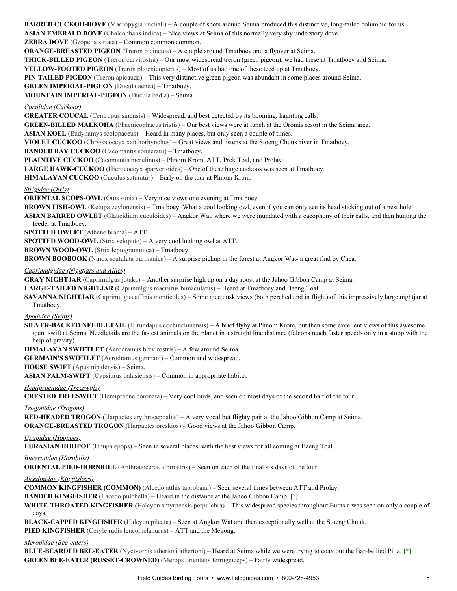**BARRED CUCKOO-DOVE** (Macropygia unchall) – A couple of spots around Seima produced this distinctive, long-tailed columbid for us. **ASIAN EMERALD DOVE** (Chalcophaps indica) – Nice views at Seima of this normally very shy understory dove.

**ZEBRA DOVE** (Geopelia striata) – Common common common.

**ORANGE-BREASTED PIGEON** (Treron bicinctus) – A couple around Tmatboey and a flyover at Seima.

**THICK-BILLED PIGEON** (Treron curvirostra) – Our most widespread treron (green pigeon), we had these at Tmatboey and Seima.

**YELLOW-FOOTED PIGEON** (Treron phoenicopterus) – Most of us had one of these teed up at Tmatboey.

**PIN-TAILED PIGEON** (Treron apicauda) – This very distinctive green pigeon was abundant in some places around Seima.

**GREEN IMPERIAL-PIGEON** (Ducula aenea) – Tmatboey.

**MOUNTAIN IMPERIALPIGEON** (Ducula badia) – Seima.

*Cuculidae (Cuckoos)*

**GREATER COUCAL** (Centropus sinensis) – Widespread, and best detected by its booming, haunting calls.

**GREEN-BILLED MALKOHA** (Phaenicophaeus tristis) – Our best views were at lunch at the Oromis resort in the Seima area.

**ASIAN KOEL** (Eudynamys scolopaceus) – Heard in many places, but only seen a couple of times.

**VIOLET CUCKOO** (Chrysococcyx xanthorhynchus) – Great views and listens at the Stoeng Chuuk river in Tmatboey.

**BANDED BAY CUCKOO** (Cacomantis sonneratii) – Tmatboey.

**PLAINTIVE CUCKOO** (Cacomantis merulinus) – Phnom Krom, ATT, Prek Toal, and Prolay

**LARGE HAWK-CUCKOO** (Hierococcyx sparverioides) – One of these huge cuckoos was seen at Tmatboey.

**HIMALAYAN CUCKOO** (Cuculus saturatus) – Early on the tour at Phnom Krom.

*Strigidae (Owls)*

**ORIENTAL SCOPS-OWL** (Otus sunia) – Very nice views one evening at Tmatboey.

**BROWN FISH-OWL** (Ketupa zeylonensis) – Tmatboey. What a cool looking owl, even if you can only see its head sticking out of a nest hole! **ASIAN BARRED OWLET** (Glaucidium cuculoides) – Angkor Wat, where we were inundated with a cacophony of their calls, and then hunting the feeder at Tmatboey.

**SPOTTED OWLET** (Athene brama) – ATT

**SPOTTED WOOD-OWL** (Strix seloputo) – A very cool looking owl at ATT.

**BROWN WOOD-OWL** (Strix leptogrammica) – Tmatboey.

**BROWN BOOBOOK** (Ninox scutulata burmanica) – A surprise pickup in the forest at Angkor Wat- a great find by Chea.

*Caprimulgidae (Nightjars and Allies)*

**GRAY NIGHTJAR** (Caprimulgus jotaka) – Another surprise high up on a day roost at the Jahoo Gibbon Camp at Seima.

LARGE-TAILED NIGHTJAR (Caprimulgus macrurus bimaculatus) – Heard at Tmatboey and Baeng Toal.

**SAVANNA NIGHTJAR** (Caprimulgus affinis monticolus) – Some nice dusk views (both perched and in flight) of this impressively large nightjar at Tmatboey.

*Apodidae (Swifts)*

**SILVER-BACKED NEEDLETAIL** (Hirundapus cochinchinensis) – A brief flyby at Phnom Krom, but then some excellent views of this awesome giant swift at Seima. Needletails are the fastest animals on the planet in a straight line distance (falcons reach faster speeds only in a stoop with the help of gravity).

**HIMALAYAN SWIFTLET** (Aerodramus brevirostris) – A few around Seima.

**GERMAIN'S SWIFTLET** (Aerodramus germani) – Common and widespread.

**HOUSE SWIFT** (Apus nipalensis) – Seima.

**ASIAN PALM-SWIFT** (Cypsiurus balasiensis) – Common in appropriate habitat.

*Hemiprocnidae (Treeswifts)*

**CRESTED TREESWIFT** (Hemiprocne coronata) – Very cool birds, and seen on most days of the second half of the tour.

*Trogonidae (Trogons)*

**REDHEADED TROGON** (Harpactes erythrocephalus) – A very vocal but flighty pair at the Jahoo Gibbon Camp at Seima.

**ORANGE-BREASTED TROGON** (Harpactes oreskios) – Good views at the Jahoo Gibbon Camp.

*Upupidae (Hoopoes)*

**EURASIAN HOOPOE** (Upupa epops) – Seen in several places, with the best views for all coming at Baeng Toal.

*Bucerotidae (Hornbills)*

**ORIENTAL PIED-HORNBILL** (Anthracoceros albirostris) – Seen on each of the final six days of the tour.

*Alcedinidae (Kingfishers)*

**COMMON KINGFISHER (COMMON)** (Alcedo atthis taprobana) – Seen several times between ATT and Prolay.

**BANDED KINGFISHER** (Lacedo pulchella) – Heard in the distance at the Jahoo Gibbon Camp. **[\*]**

WHITE-THROATED KINGFISHER (Halcyon smyrnensis perpulchra) – This widespread species throughout Eurasia was seen on only a couple of days.

**BLACK-CAPPED KINGFISHER** (Halcyon pileata) – Seen at Angkor Wat and then exceptionally well at the Stoeng Chuuk.

**PIED KINGFISHER** (Ceryle rudis leucomelanurus) – ATT and the Mekong.

#### *Meropidae (Bee-eaters)*

**BLUE-BEARDED BEE-EATER** (Nyctyornis athertoni athertoni) – Heard at Seima while we were trying to coax out the Bar-bellied Pitta. [\*] **GREEN BEE-EATER (RUSSET-CROWNED)** (Merops orientalis ferrugeiceps) – Fairly widespread.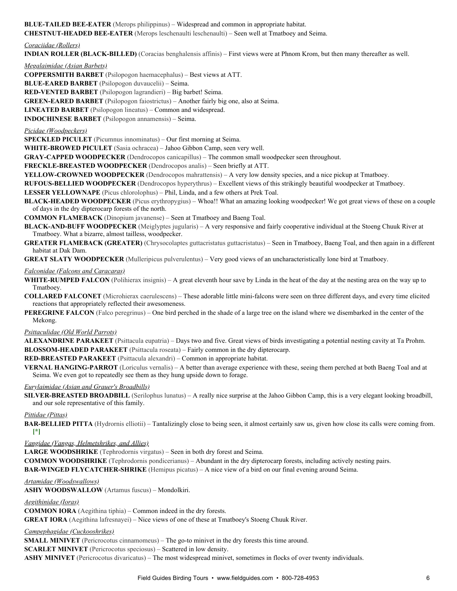**BLUE-TAILED BEE-EATER** (Merops philippinus) – Widespread and common in appropriate habitat. **CHESTNUT-HEADED BEE-EATER** (Merops leschenaulti leschenaulti) – Seen well at Tmatboey and Seima.

#### *Coraciidae (Rollers)*

**INDIAN ROLLER (BLACK-BILLED)** (Coracias benghalensis affinis) – First views were at Phnom Krom, but then many thereafter as well.

*Megalaimidae (Asian Barbets)*

**COPPERSMITH BARBET** (Psilopogon haemacephalus) – Best views at ATT.

**BLUE-EARED BARBET** (Psilopogon duvaucelii) – Seima.

**RED-VENTED BARBET** (Psilopogon lagrandieri) – Big barbet! Seima.

**GREEN-EARED BARBET** (Psilopogon faiostrictus) – Another fairly big one, also at Seima.

**LINEATED BARBET** (Psilopogon lineatus) – Common and widespread.

**INDOCHINESE BARBET** (Psilopogon annamensis) – Seima.

### *Picidae (Woodpeckers)*

**SPECKLED PICULET** (Picumnus innominatus) – Our first morning at Seima.

WHITE-BROWED PICULET (Sasia ochracea) – Jahoo Gibbon Camp, seen very well.

**GRAY-CAPPED WOODPECKER** (Dendrocopos canicapillus) – The common small woodpecker seen throughout.

**FRECKLE-BREASTED WOODPECKER** (Dendrocopos analis) – Seen briefly at ATT.

**YELLOW-CROWNED WOODPECKER** (Dendrocopos mahrattensis) – A very low density species, and a nice pickup at Tmatboey.

**RUFOUS-BELLIED WOODPECKER** (Dendrocopos hyperythrus) – Excellent views of this strikingly beautiful woodpecker at Tmatboey.

**LESSER YELLOWNAPE** (Picus chlorolophus) – Phil, Linda, and a few others at Prek Toal.

BLACK-HEADED WOODPECKER (Picus erythropygius) – Whoa!! What an amazing looking woodpecker! We got great views of these on a couple of days in the dry dipterocarp forests of the north.

**COMMON FLAMEBACK** (Dinopium javanense) – Seen at Tmatboey and Baeng Toal.

**BLACK-AND-BUFF WOODPECKER** (Meiglyptes jugularis) – A very responsive and fairly cooperative individual at the Stoeng Chuuk River at Tmatboey. What a bizarre, almost tailless, woodpecker.

**GREATER FLAMEBACK (GREATER)** (Chrysocolaptes guttacristatus guttacristatus) – Seen in Tmatboey, Baeng Toal, and then again in a different habitat at Dak Dam.

**GREAT SLATY WOODPECKER** (Mulleripicus pulverulentus) – Very good views of an uncharacteristically lone bird at Tmatboey.

*Falconidae (Falcons and Caracaras)*

**WHITE-RUMPED FALCON** (Polihierax insignis) – A great eleventh hour save by Linda in the heat of the day at the nesting area on the way up to Tmatboey.

**COLLARED FALCONET** (Microhierax caerulescens) – These adorable little mini-falcons were seen on three different days, and every time elicited reactions that appropriately reflected their awesomeness.

**PEREGRINE FALCON** (Falco peregrinus) – One bird perched in the shade of a large tree on the island where we disembarked in the center of the Mekong.

### *Psittaculidae (Old World Parrots)*

**ALEXANDRINE PARAKEET** (Psittacula eupatria) – Days two and five. Great views of birds investigating a potential nesting cavity at Ta Prohm. **BLOSSOMHEADED PARAKEET** (Psittacula roseata) – Fairly common in the dry dipterocarp.

**RED-BREASTED PARAKEET** (Psittacula alexandri) – Common in appropriate habitat.

**VERNAL HANGING-PARROT** (Loriculus vernalis) – A better than average experience with these, seeing them perched at both Baeng Toal and at Seima. We even got to repeatedly see them as they hung upside down to forage.

### *Eurylaimidae (Asian and Grauer's Broadbills)*

**SILVER-BREASTED BROADBILL** (Serilophus lunatus) – A really nice surprise at the Jahoo Gibbon Camp, this is a very elegant looking broadbill, and our sole representative of this family.

### *Pittidae (Pittas)*

**BAR-BELLIED PITTA** (Hydrornis elliotii) – Tantalizingly close to being seen, it almost certainly saw us, given how close its calls were coming from. **[\*]**

## *Vangidae (Vangas, Helmetshrikes, and Allies)*

**LARGE WOODSHRIKE** (Tephrodornis virgatus) – Seen in both dry forest and Seima.

**COMMON WOODSHRIKE** (Tephrodornis pondicerianus) – Abundant in the dry dipterocarp forests, including actively nesting pairs.

**BAR-WINGED FLYCATCHER-SHRIKE** (Hemipus picatus) – A nice view of a bird on our final evening around Seima.

### *Artamidae (Woodswallows)*

**ASHY WOODSWALLOW** (Artamus fuscus) – Mondolkiri.

*Aegithinidae (Ioras)*

**COMMON IORA** (Aegithina tiphia) – Common indeed in the dry forests.

**GREAT IORA** (Aegithina lafresnayei) – Nice views of one of these at Tmatboey's Stoeng Chuuk River.

### *Campephagidae (Cuckooshrikes)*

**SMALL MINIVET** (Pericrocotus cinnamomeus) – The go-to minivet in the dry forests this time around.

**SCARLET MINIVET** (Pericrocotus speciosus) – Scattered in low density.

**ASHY MINIVET** (Pericrocotus divaricatus) – The most widespread minivet, sometimes in flocks of over twenty individuals.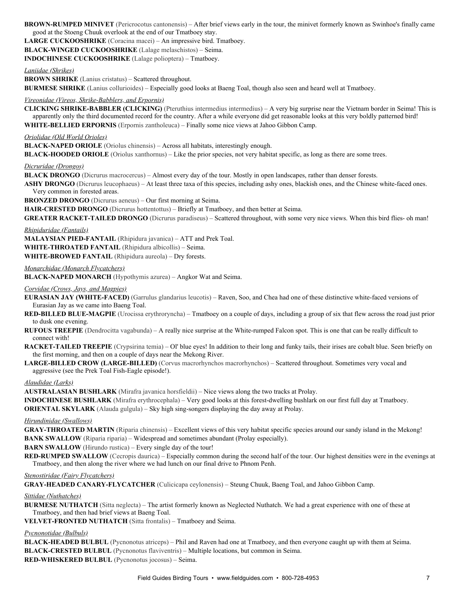BROWN-RUMPED MINIVET (Pericrocotus cantonensis) – After brief views early in the tour, the minivet formerly known as Swinhoe's finally came good at the Stoeng Chuuk overlook at the end of our Tmatboey stay.

LARGE CUCKOOSHRIKE (Coracina macei) – An impressive bird. Tmatboey.

BLACK-WINGED CUCKOOSHRIKE (Lalage melaschistos) - Seima.

**INDOCHINESE CUCKOOSHRIKE** (Lalage polioptera) – Tmatboey.

*Laniidae (Shrikes)*

**BROWN SHRIKE** (Lanius cristatus) – Scattered throughout.

**BURMESE SHRIKE** (Lanius collurioides) – Especially good looks at Baeng Toal, though also seen and heard well at Tmatboey.

### *Vireonidae (Vireos, Shrike-Babblers, and Erpornis)*

**CLICKING SHRIKE-BABBLER (CLICKING)** (Pteruthius intermedius intermedius) – A very big surprise near the Vietnam border in Seima! This is apparently only the third documented record for the country. After a while everyone did get reasonable looks at this very boldly patterned bird! **WHITE-BELLIED ERPORNIS** (Erpornis zantholeuca) – Finally some nice views at Jahoo Gibbon Camp.

#### *Oriolidae (Old World Orioles)*

**BLACK-NAPED ORIOLE** (Oriolus chinensis) – Across all habitats, interestingly enough.

**BLACK-HOODED ORIOLE** (Oriolus xanthornus) – Like the prior species, not very habitat specific, as long as there are some trees.

*Dicruridae (Drongos)*

**BLACK DRONGO** (Dicrurus macrocercus) – Almost every day of the tour. Mostly in open landscapes, rather than denser forests.

ASHY DRONGO (Dicrurus leucophaeus) – At least three taxa of this species, including ashy ones, blackish ones, and the Chinese white-faced ones. Very common in forested areas.

**BRONZED DRONGO** (Dicrurus aeneus) – Our first morning at Seima.

HAIR-CRESTED DRONGO (Dicrurus hottentottus) – Briefly at Tmatboey, and then better at Seima.

**GREATER RACKET-TAILED DRONGO** (Dicrurus paradiseus) – Scattered throughout, with some very nice views. When this bird flies- oh man!

*Rhipiduridae (Fantails)*

**MALAYSIAN PIED-FANTAIL** (Rhipidura javanica) – ATT and Prek Toal.

**WHITE-THROATED FANTAIL** (Rhipidura albicollis) – Seima.

**WHITE-BROWED FANTAIL** (Rhipidura aureola) – Dry forests.

### *Monarchidae (Monarch Flycatchers)*

**BLACK-NAPED MONARCH** (Hypothymis azurea) – Angkor Wat and Seima.

*Corvidae (Crows, Jays, and Magpies)*

**EURASIAN JAY (WHITE-FACED)** (Garrulus glandarius leucotis) – Raven, Soo, and Chea had one of these distinctive white-faced versions of Eurasian Jay as we came into Baeng Toal.

**RED-BILLED BLUE-MAGPIE** (Urocissa erythroryncha) – Tmatboey on a couple of days, including a group of six that flew across the road just prior to dusk one evening.

**RUFOUS TREEPIE** (Dendrocitta vagabunda) – A really nice surprise at the White-rumped Falcon spot. This is one that can be really difficult to connect with!

RACKET-TAILED TREEPIE (Crypsirina temia) – Ol' blue eyes! In addition to their long and funky tails, their irises are cobalt blue. Seen briefly on the first morning, and then on a couple of days near the Mekong River.

LARGE-BILLED CROW (LARGE-BILLED) (Corvus macrorhynchos macrorhynchos) – Scattered throughout. Sometimes very vocal and aggressive (see the Prek Toal Fish-Eagle episode!).

#### *Alaudidae (Larks)*

**AUSTRALASIAN BUSHLARK** (Mirafra javanica horsfieldii) – Nice views along the two tracks at Prolay.

**INDOCHINESE BUSHLARK** (Mirafra erythrocephala) – Very good looks at this forest-dwelling bushlark on our first full day at Tmatboey. **ORIENTAL SKYLARK** (Alauda gulgula) – Sky high sing-songers displaying the day away at Prolay.

#### *Hirundinidae (Swallows)*

**GRAYTHROATED MARTIN** (Riparia chinensis) – Excellent views of this very habitat specific species around our sandy island in the Mekong! **BANK SWALLOW** (Riparia riparia) – Widespread and sometimes abundant (Prolay especially).

**BARN SWALLOW** (Hirundo rustica) – Every single day of the tour!

**RED-RUMPED SWALLOW** (Cecropis daurica) – Especially common during the second half of the tour. Our highest densities were in the evenings at Tmatboey, and then along the river where we had lunch on our final drive to Phnom Penh.

#### *Stenostiridae (Fairy Flycatchers)*

**GRAY-HEADED CANARY-FLYCATCHER** (Culicicapa ceylonensis) – Steung Chuuk, Baeng Toal, and Jahoo Gibbon Camp.

### *Sittidae (Nuthatches)*

**BURMESE NUTHATCH** (Sitta neglecta) – The artist formerly known as Neglected Nuthatch. We had a great experience with one of these at Tmatboey, and then had brief views at Baeng Toal.

**VELVET-FRONTED NUTHATCH** (Sitta frontalis) – Tmatboey and Seima.

#### *Pycnonotidae (Bulbuls)*

**BLACK-HEADED BULBUL** (Pycnonotus atriceps) – Phil and Raven had one at Tmatboey, and then everyone caught up with them at Seima. **BLACK-CRESTED BULBUL** (Pycnonotus flaviventris) – Multiple locations, but common in Seima. **REDWHISKERED BULBUL** (Pycnonotus jocosus) – Seima.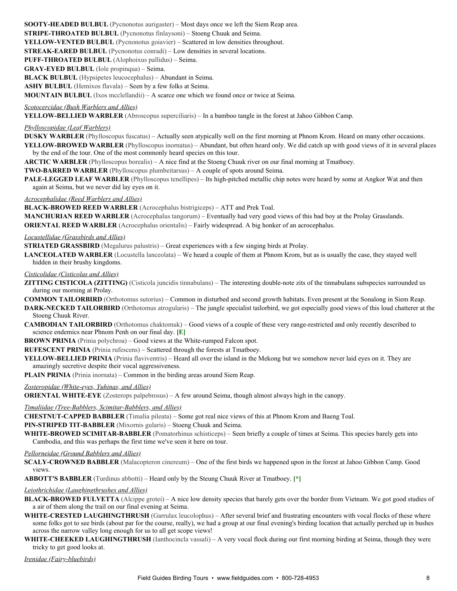**SOOTY-HEADED BULBUL** (Pycnonotus aurigaster) – Most days once we left the Siem Reap area. **STRIPE-THROATED BULBUL** (Pycnonotus finlaysoni) – Stoeng Chuuk and Seima. **YELLOW-VENTED BULBUL** (Pycnonotus goiavier) – Scattered in low densities throughout. **STREAK-EARED BULBUL** (Pycnonotus conradi) – Low densities in several locations. PUFF-THROATED BULBUL (Alophoixus pallidus) – Seima. **GRAYEYED BULBUL** (Iole propinqua) – Seima. **BLACK BULBUL** (Hypsipetes leucocephalus) – Abundant in Seima. **ASHY BULBUL** (Hemixos flavala) – Seen by a few folks at Seima.

**MOUNTAIN BULBUL** (Ixos mcclellandii) – A scarce one which we found once or twice at Seima.

### *Scotocercidae (Bush Warblers and Allies)*

**YELLOW-BELLIED WARBLER** (Abroscopus superciliaris) – In a bamboo tangle in the forest at Jahoo Gibbon Camp.

### *Phylloscopidae (Leaf Warblers)*

**DUSKY WARBLER** (Phylloscopus fuscatus) – Actually seen atypically well on the first morning at Phnom Krom. Heard on many other occasions.

YELLOW-BROWED WARBLER (Phylloscopus inornatus) – Abundant, but often heard only. We did catch up with good views of it in several places by the end of the tour. One of the most commonly heard species on this tour.

**ARCTIC WARBLER** (Phylloscopus borealis) – A nice find at the Stoeng Chuuk river on our final morning at Tmatboey.

- **TWO-BARRED WARBLER** (Phylloscopus plumbeitarsus) A couple of spots around Seima.
- **PALE-LEGGED LEAF WARBLER** (Phylloscopus tenellipes) Its high-pitched metallic chip notes were heard by some at Angkor Wat and then again at Seima, but we never did lay eyes on it.

#### *Acrocephalidae (Reed Warblers and Allies)*

**BLACK-BROWED REED WARBLER** (Acrocephalus bistrigiceps) – ATT and Prek Toal.

**MANCHURIAN REED WARBLER** (Acrocephalus tangorum) – Eventually had very good views of this bad boy at the Prolay Grasslands. **ORIENTAL REED WARBLER** (Acrocephalus orientalis) – Fairly widespread. A big honker of an acrocephalus.

#### *Locustellidae (Grassbirds and Allies)*

**STRIATED GRASSBIRD** (Megalurus palustris) – Great experiences with a few singing birds at Prolay.

**LANCEOLATED WARBLER** (Locustella lanceolata) – We heard a couple of them at Phnom Krom, but as is usually the case, they stayed well hidden in their brushy kingdoms.

### *Cisticolidae (Cisticolas and Allies)*

**ZITTING CISTICOLA (ZITTING)** (Cisticola juncidis tinnabulans) – The interesting doublenote zits of the tinnabulans subspecies surrounded us during our morning at Prolay.

**COMMON TAILORBIRD** (Orthotomus sutorius) – Common in disturbed and second growth habitats. Even present at the Sonalong in Siem Reap.

**DARK-NECKED TAILORBIRD** (Orthotomus atrogularis) – The jungle specialist tailorbird, we got especially good views of this loud chatterer at the Stoeng Chuuk River.

**CAMBODIAN TAILORBIRD** (Orthotomus chaktomuk) – Good views of a couple of these very range-restricted and only recently described to science endemics near Phnom Penh on our final day. **[E]**

**BROWN PRINIA** (Prinia polychroa) – Good views at the White-rumped Falcon spot.

**RUFESCENT PRINIA** (Prinia rufescens) – Scattered through the forests at Tmatboey.

**YELLOW-BELLIED PRINIA** (Prinia flaviventris) – Heard all over the island in the Mekong but we somehow never laid eyes on it. They are amazingly secretive despite their vocal aggressiveness.

**PLAIN PRINIA** (Prinia inornata) – Common in the birding areas around Siem Reap.

#### **Zosteropidae (White-eyes, Yuhinas, and Allies)**

**ORIENTAL WHITE-EYE** (Zosterops palpebrosus) – A few around Seima, though almost always high in the canopy.

#### *Timaliidae (Tree-Babblers, Scimitar-Babblers, and Allies)*

**CHESTNUT-CAPPED BABBLER** (Timalia pileata) – Some got real nice views of this at Phnom Krom and Baeng Toal.

**PIN-STRIPED TIT-BABBLER** (Mixornis gularis) – Stoeng Chuuk and Seima.

**WHITE-BROWED SCIMITAR-BABBLER** (Pomatorhinus schisticeps) – Seen briefly a couple of times at Seima. This species barely gets into Cambodia, and this was perhaps the first time we've seen it here on tour.

#### *Pellorneidae (Ground Babblers and Allies)*

**SCALY-CROWNED BABBLER** (Malacopteron cinereum) – One of the first birds we happened upon in the forest at Jahoo Gibbon Camp. Good views.

**ABBOTT'S BABBLER** (Turdinus abbotti) – Heard only by the Steung Chuuk River at Tmatboey. **[\*]**

#### *Leiothrichidae (Laughingthrushes and Allies)*

- **BLACK-BROWED FULVETTA** (Alcippe grotei) A nice low density species that barely gets over the border from Vietnam. We got good studies of a air of them along the trail on our final evening at Seima.
- WHITE-CRESTED LAUGHINGTHRUSH (Garrulax leucolophus) After several brief and frustrating encounters with vocal flocks of these where some folks got to see birds (about par for the course, really), we had a group at our final evening's birding location that actually perched up in bushes across the narrow valley long enough for us to all get scope views!
- **WHITE-CHEEKED LAUGHINGTHRUSH** (Ianthocincla vassali) A very vocal flock during our first morning birding at Seima, though they were tricky to get good looks at.

*Irenidae (Fairy-bluebirds)*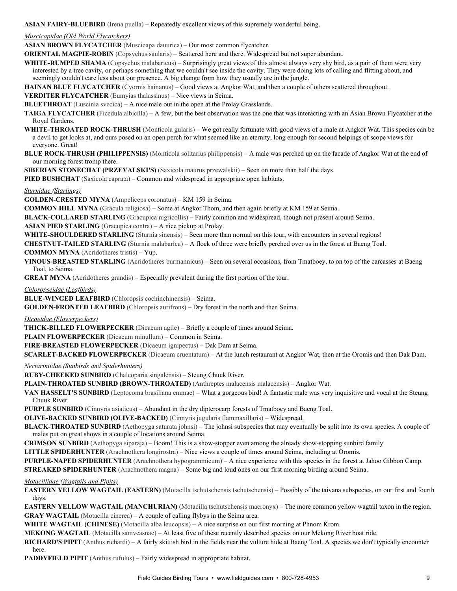**ASIAN FAIRY-BLUEBIRD** (Irena puella) – Repeatedly excellent views of this supremely wonderful being.

*Muscicapidae (Old World Flycatchers)*

**ASIAN BROWN FLYCATCHER** (Muscicapa dauurica) – Our most common flycatcher.

**ORIENTAL MAGPIE-ROBIN** (Copsychus saularis) – Scattered here and there. Widespread but not super abundant.

WHITE-RUMPED SHAMA (Copsychus malabaricus) – Surprisingly great views of this almost always very shy bird, as a pair of them were very interested by a tree cavity, or perhaps something that we couldn't see inside the cavity. They were doing lots of calling and flitting about, and seemingly couldn't care less about our presence. A big change from how they usually are in the jungle.

**HAINAN BLUE FLYCATCHER** (Cyornis hainanus) – Good views at Angkor Wat, and then a couple of others scattered throughout.

**VERDITER FLYCATCHER** (Eumyias thalassinus) – Nice views in Seima.

**BLUETHROAT** (Luscinia svecica) – A nice male out in the open at the Prolay Grasslands.

**TAIGA FLYCATCHER** (Ficedula albicilla) – A few, but the best observation was the one that was interacting with an Asian Brown Flycatcher at the Royal Gardens.

- **WHITE-THROATED ROCK-THRUSH** (Monticola gularis) We got really fortunate with good views of a male at Angkor Wat. This species can be a devil to get looks at, and ours posed on an open perch for what seemed like an eternity, long enough for second helpings of scope views for everyone. Great!
- **BLUE ROCK-THRUSH (PHILIPPENSIS)** (Monticola solitarius philippensis) A male was perched up on the facade of Angkor Wat at the end of our morning forest tromp there.

**SIBERIAN STONECHAT (PRZEVALSKI'S)** (Saxicola maurus przewalskii) – Seen on more than half the days.

**PIED BUSHCHAT** (Saxicola caprata) – Common and widespread in appropriate open habitats.

*Sturnidae (Starlings)*

**GOLDEN-CRESTED MYNA** (Ampeliceps coronatus) – KM 159 in Seima.

**COMMON HILL MYNA** (Gracula religiosa) – Some at Angkor Thom, and then again briefly at KM 159 at Seima.

**BLACK-COLLARED STARLING** (Gracupica nigricollis) – Fairly common and widespread, though not present around Seima.

**ASIAN PIED STARLING** (Gracupica contra) – A nice pickup at Prolay.

**WHITE-SHOULDERED STARLING** (Sturnia sinensis) – Seen more than normal on this tour, with encounters in several regions!

**CHESTNUT-TAILED STARLING** (Sturnia malabarica) – A flock of three were briefly perched over us in the forest at Baeng Toal.

**COMMON MYNA** (Acridotheres tristis) – Yup.

**VINOUS-BREASTED STARLING** (Acridotheres burmannicus) – Seen on several occasions, from Tmatboey, to on top of the carcasses at Baeng Toal, to Seima.

**GREAT MYNA** (Acridotheres grandis) – Especially prevalent during the first portion of the tour.

*Chloropseidae (Leafbirds)*

**BLUE-WINGED LEAFBIRD** (Chloropsis cochinchinensis) – Seima.

**GOLDEN-FRONTED LEAFBIRD** (Chloropsis aurifrons) – Dry forest in the north and then Seima.

*Dicaeidae (Flowerpeckers)*

**THICK-BILLED FLOWERPECKER** (Dicaeum agile) – Briefly a couple of times around Seima.

**PLAIN FLOWERPECKER** (Dicaeum minullum) – Common in Seima.

FIRE-BREASTED FLOWERPECKER (Dicaeum ignipectus) – Dak Dam at Seima.

**SCARLET-BACKED FLOWERPECKER** (Dicaeum cruentatum) – At the lunch restaurant at Angkor Wat, then at the Oromis and then Dak Dam.

*Nectariniidae (Sunbirds and Spiderhunters)*

RUBY-CHEEKED SUNBIRD (Chalcoparia singalensis) – Steung Chuuk River.

**PLAIN-THROATED SUNBIRD (BROWN-THROATED)** (Anthreptes malacensis malacensis) – Angkor Wat.

**VAN HASSELT'S SUNBIRD** (Leptocoma brasiliana emmae) – What a gorgeous bird! A fantastic male was very inquisitive and vocal at the Steung Chuuk River.

**PURPLE SUNBIRD** (Cinnyris asiaticus) – Abundant in the dry dipterocarp forests of Tmatboey and Baeng Toal.

**OLIVE-BACKED SUNBIRD (OLIVE-BACKED)** (Cinnyris jugularis flammaxillaris) – Widespread.

**BLACK-THROATED SUNBIRD** (Aethopyga saturata johnsi) – The johnsi subspecies that may eventually be split into its own species. A couple of males put on great shows in a couple of locations around Seima.

**CRIMSON SUNBIRD** (Aethopyga siparaja) – Boom! This is a show-stopper even among the already show-stopping sunbird family.

**LITTLE SPIDERHUNTER** (Arachnothera longirostra) – Nice views a couple of times around Seima, including at Oromis.

**PURPLE-NAPED SPIDERHUNTER** (Arachnothera hypogrammicum) – A nice experience with this species in the forest at Jahoo Gibbon Camp.

**STREAKED SPIDERHUNTER** (Arachnothera magna) – Some big and loud ones on our first morning birding around Seima.

*Motacillidae (Wagtails and Pipits)*

**EASTERN YELLOW WAGTAIL (EASTERN)** (Motacilla tschutschensis tschutschensis) – Possibly of the taivana subspecies, on our first and fourth days.

**EASTERN YELLOW WAGTAIL (MANCHURIAN)** (Motacilla tschutschensis macronyx) – The more common yellow wagtail taxon in the region. **GRAY WAGTAIL** (Motacilla cinerea) – A couple of calling flybys in the Seima area.

**WHITE WAGTAIL (CHINESE)** (Motacilla alba leucopsis) – A nice surprise on our first morning at Phnom Krom.

**MEKONG WAGTAIL** (Motacilla samveasnae) – At least five of these recently described species on our Mekong River boat ride.

**RICHARD'S PIPIT** (Anthus richardi) – A fairly skittish bird in the fields near the vulture hide at Baeng Toal. A species we don't typically encounter here.

**PADDYFIELD PIPIT** (Anthus rufulus) – Fairly widespread in appropriate habitat.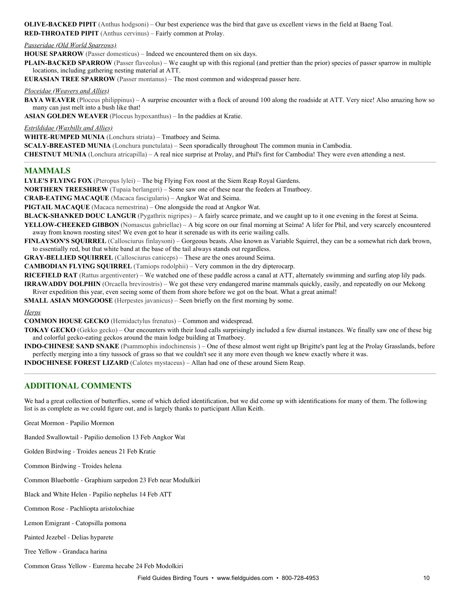**OLIVE-BACKED PIPIT** (Anthus hodgsoni) – Our best experience was the bird that gave us excellent views in the field at Baeng Toal. **RED-THROATED PIPIT** (Anthus cervinus) – Fairly common at Prolay.

#### *Passeridae (Old World Sparrows)*

**HOUSE SPARROW** (Passer domesticus) – Indeed we encountered them on six days.

**PLAIN-BACKED SPARROW** (Passer flaveolus) – We caught up with this regional (and prettier than the prior) species of passer sparrow in multiple locations, including gathering nesting material at ATT.

**EURASIAN TREE SPARROW** (Passer montanus) – The most common and widespread passer here.

#### *Ploceidae (Weavers and Allies)*

**BAYA WEAVER** (Ploceus philippinus) – A surprise encounter with a flock of around 100 along the roadside at ATT. Very nice! Also amazing how so many can just melt into a bush like that!

**ASIAN GOLDEN WEAVER** (Ploceus hypoxanthus) – In the paddies at Kratie.

#### *Estrildidae (Waxbills and Allies)*

**WHITE-RUMPED MUNIA** (Lonchura striata) – Tmatboey and Seima.

**SCALY-BREASTED MUNIA** (Lonchura punctulata) – Seen sporadically throughout The common munia in Cambodia.

**CHESTNUT MUNIA** (Lonchura atricapilla) – A real nice surprise at Prolay, and Phil's first for Cambodia! They were even attending a nest.

### **MAMMALS**

**LYLE'S FLYING FOX** (Pteropus lylei) – The big Flying Fox roost at the Siem Reap Royal Gardens.

**NORTHERN TREESHREW** (Tupaia berlangeri) – Some saw one of these near the feeders at Tmatboey.

**CRABEATING MACAQUE** (Macaca fascigularis) – Angkor Wat and Seima.

**PIGTAIL MACAQUE** (Macaca nemestrina) – One alongside the road at Angkor Wat.

**BLACK-SHANKED DOUC LANGUR** (Pygathrix nigripes) – A fairly scarce primate, and we caught up to it one evening in the forest at Seima.

YELLOW-CHEEKED GIBBON (Nomascus gabriellae) – A big score on our final morning at Seima! A lifer for Phil, and very scarcely encountered away from known roosting sites! We even got to hear it serenade us with its eerie wailing calls.

**FINLAYSON'S SQUIRREL** (Callosciurus finlaysoni) – Gorgeous beasts. Also known as Variable Squirrel, they can be a somewhat rich dark brown, to essentially red, but that white band at the base of the tail always stands out regardless.

**GRAY-BELLIED SQUIRREL** (Callosciurus caniceps) – These are the ones around Seima.

**CAMBODIAN FLYING SQUIRREL** (Tamiops rodolphii) – Very common in the dry dipterocarp.

**RICEFIELD RAT** (Rattus argentiventer) – We watched one of these paddle across a canal at ATT, alternately swimming and surfing atop lily pads. **IRRAWADDY DOLPHIN** (Orcaella brevirostris) – We got these very endangered marine mammals quickly, easily, and repeatedly on our Mekong River expedition this year, even seeing some of them from shore before we got on the boat. What a great animal!

**SMALL ASIAN MONGOOSE** (Herpestes javanicus) – Seen briefly on the first morning by some.

*Herps*

**COMMON HOUSE GECKO** (Hemidactylus frenatus) – Common and widespread.

**TOKAY GECKO** (Gekko gecko) – Our encounters with their loud calls surprisingly included a few diurnal instances. We finally saw one of these big and colorful gecko-eating geckos around the main lodge building at Tmatboey.

**INDO-CHINESE SAND SNAKE** (Psammophis indochinensis) – One of these almost went right up Brigitte's pant leg at the Prolay Grasslands, before perfectly merging into a tiny tussock of grass so that we couldn't see it any more even though we knew exactly where it was.

**INDOCHINESE FOREST LIZARD** (Calotes mystaceus) – Allan had one of these around Siem Reap.

# **ADDITIONAL COMMENTS**

We had a great collection of butterflies, some of which defied identification, but we did come up with identifications for many of them. The following list is as complete as we could figure out, and is largely thanks to participant Allan Keith.

Great Mormon - Papilio Mormon

Banded Swallowtail - Papilio demolion 13 Feb Angkor Wat

Golden Birdwing - Troides aeneus 21 Feb Kratie

Common Birdwing - Troides helena

Common Bluebottle - Graphium sarpedon 23 Feb near Modulkiri

Black and White Helen - Papilio nephelus 14 Feb ATT

Common Rose - Pachliopta aristolochiae

Lemon Emigrant - Catopsilla pomona

Painted Jezebel - Delias hyparete

Tree Yellow - Grandaca harina

Common Grass Yellow - Eurema hecabe 24 Feb Modolkiri